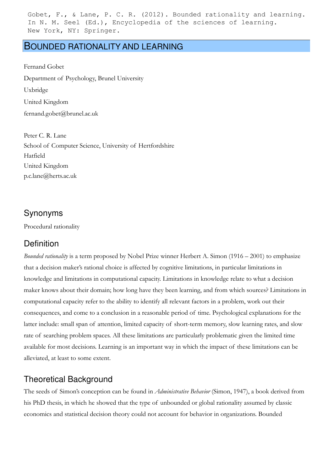Gobet, F., & Lane, P. C. R. (2012). Bounded rationality and learning. In N. M. Seel (Ed.), Encyclopedia of the sciences of learning. New York, NY: Springer.

#### BOUNDED RATIONALITY AND LEARNING

Fernand Gobet Department of Psychology, Brunel University Uxbridge United Kingdom fernand.gobet@brunel.ac.uk

Peter C. R. Lane School of Computer Science, University of Hertfordshire Hatfield United Kingdom p.c.lane@herts.ac.uk

## Synonyms

Procedural rationality

#### **Definition**

Bounded rationality is a term proposed by Nobel Prize winner Herbert A. Simon (1916 – 2001) to emphasize that a decision maker's rational choice is affected by cognitive limitations, in particular limitations in knowledge and limitations in computational capacity. Limitations in knowledge relate to what a decision maker knows about their domain; how long have they been learning, and from which sources? Limitations in computational capacity refer to the ability to identify all relevant factors in a problem, work out their consequences, and come to a conclusion in a reasonable period of time. Psychological explanations for the latter include: small span of attention, limited capacity of short-term memory, slow learning rates, and slow rate of searching problem spaces. All these limitations are particularly problematic given the limited time available for most decisions. Learning is an important way in which the impact of these limitations can be alleviated, at least to some extent.

### Theoretical Background

The seeds of Simon's conception can be found in *Administrative Behavior* (Simon, 1947), a book derived from his PhD thesis, in which he showed that the type of unbounded or global rationality assumed by classic economics and statistical decision theory could not account for behavior in organizations. Bounded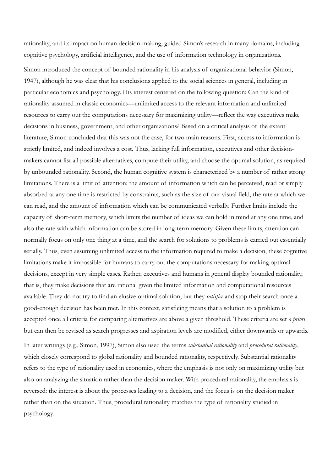rationality, and its impact on human decision-making, guided Simon's research in many domains, including cognitive psychology, artificial intelligence, and the use of information technology in organizations.

Simon introduced the concept of bounded rationality in his analysis of organizational behavior (Simon, 1947), although he was clear that his conclusions applied to the social sciences in general, including in particular economics and psychology. His interest centered on the following question: Can the kind of rationality assumed in classic economics—unlimited access to the relevant information and unlimited resources to carry out the computations necessary for maximizing utility—reflect the way executives make decisions in business, government, and other organizations? Based on a critical analysis of the extant literature, Simon concluded that this was not the case, for two main reasons. First, access to information is strictly limited, and indeed involves a cost. Thus, lacking full information, executives and other decisionmakers cannot list all possible alternatives, compute their utility, and choose the optimal solution, as required by unbounded rationality. Second, the human cognitive system is characterized by a number of rather strong limitations. There is a limit of attention: the amount of information which can be perceived, read or simply absorbed at any one time is restricted by constraints, such as the size of our visual field, the rate at which we can read, and the amount of information which can be communicated verbally. Further limits include the capacity of short-term memory, which limits the number of ideas we can hold in mind at any one time, and also the rate with which information can be stored in long-term memory. Given these limits, attention can normally focus on only one thing at a time, and the search for solutions to problems is carried out essentially serially. Thus, even assuming unlimited access to the information required to make a decision, these cognitive limitations make it impossible for humans to carry out the computations necessary for making optimal decisions, except in very simple cases. Rather, executives and humans in general display bounded rationality, that is, they make decisions that are rational given the limited information and computational resources available. They do not try to find an elusive optimal solution, but they satisfice and stop their search once a good-enough decision has been met. In this context, satisficing means that a solution to a problem is accepted once all criteria for comparing alternatives are above a given threshold. These criteria are set a priori but can then be revised as search progresses and aspiration levels are modified, either downwards or upwards.

In later writings (e.g., Simon, 1997), Simon also used the terms substantial rationality and procedural rationality, which closely correspond to global rationality and bounded rationality, respectively. Substantial rationality refers to the type of rationality used in economics, where the emphasis is not only on maximizing utility but also on analyzing the situation rather than the decision maker. With procedural rationality, the emphasis is reversed: the interest is about the processes leading to a decision, and the focus is on the decision maker rather than on the situation. Thus, procedural rationality matches the type of rationality studied in psychology.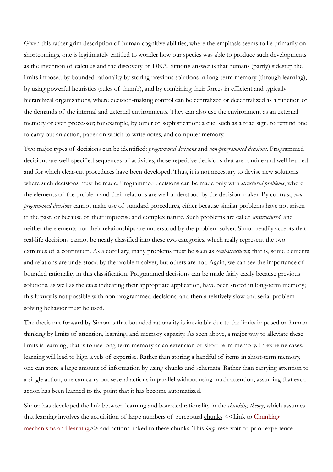Given this rather grim description of human cognitive abilities, where the emphasis seems to lie primarily on shortcomings, one is legitimately entitled to wonder how our species was able to produce such developments as the invention of calculus and the discovery of DNA. Simon's answer is that humans (partly) sidestep the limits imposed by bounded rationality by storing previous solutions in long-term memory (through learning), by using powerful heuristics (rules of thumb), and by combining their forces in efficient and typically hierarchical organizations, where decision-making control can be centralized or decentralized as a function of the demands of the internal and external environments. They can also use the environment as an external memory or even processor; for example, by order of sophistication: a cue, such as a road sign, to remind one to carry out an action, paper on which to write notes, and computer memory.

Two major types of decisions can be identified: programmed decisions and non-programmed decisions. Programmed decisions are well-specified sequences of activities, those repetitive decisions that are routine and well-learned and for which clear-cut procedures have been developed. Thus, it is not necessary to devise new solutions where such decisions must be made. Programmed decisions can be made only with *structured problems*, where the elements of the problem and their relations are well understood by the decision-maker. By contrast, nonprogrammed decisions cannot make use of standard procedures, either because similar problems have not arisen in the past, or because of their imprecise and complex nature. Such problems are called unstructured, and neither the elements nor their relationships are understood by the problem solver. Simon readily accepts that real-life decisions cannot be neatly classified into these two categories, which really represent the two extremes of a continuum. As a corollary, many problems must be seen as *semi-structured*; that is, some elements and relations are understood by the problem solver, but others are not. Again, we can see the importance of bounded rationality in this classification. Programmed decisions can be made fairly easily because previous solutions, as well as the cues indicating their appropriate application, have been stored in long-term memory; this luxury is not possible with non-programmed decisions, and then a relatively slow and serial problem solving behavior must be used.

The thesis put forward by Simon is that bounded rationality is inevitable due to the limits imposed on human thinking by limits of attention, learning, and memory capacity. As seen above, a major way to alleviate these limits is learning, that is to use long-term memory as an extension of short-term memory. In extreme cases, learning will lead to high levels of expertise. Rather than storing a handful of items in short-term memory, one can store a large amount of information by using chunks and schemata. Rather than carrying attention to a single action, one can carry out several actions in parallel without using much attention, assuming that each action has been learned to the point that it has become automatized.

Simon has developed the link between learning and bounded rationality in the *chunking theory*, which assumes that learning involves the acquisition of large numbers of perceptual chunks <<Link to Chunking mechanisms and learning>> and actions linked to these chunks. This *large* reservoir of prior experience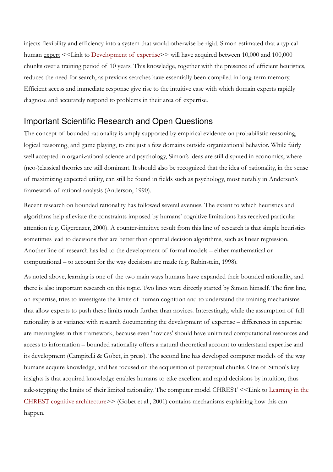injects flexibility and efficiency into a system that would otherwise be rigid. Simon estimated that a typical human expert  $<<$ Link to Development of expertise $>>$  will have acquired between 10,000 and 100,000 chunks over a training period of 10 years. This knowledge, together with the presence of efficient heuristics, reduces the need for search, as previous searches have essentially been compiled in long-term memory. Efficient access and immediate response give rise to the intuitive ease with which domain experts rapidly diagnose and accurately respond to problems in their area of expertise.

### Important Scientific Research and Open Questions

The concept of bounded rationality is amply supported by empirical evidence on probabilistic reasoning, logical reasoning, and game playing, to cite just a few domains outside organizational behavior. While fairly well accepted in organizational science and psychology, Simon's ideas are still disputed in economics, where (neo-)classical theories are still dominant. It should also be recognized that the idea of rationality, in the sense of maximizing expected utility, can still be found in fields such as psychology, most notably in Anderson's framework of rational analysis (Anderson, 1990).

Recent research on bounded rationality has followed several avenues. The extent to which heuristics and algorithms help alleviate the constraints imposed by humans' cognitive limitations has received particular attention (e.g. Gigerenzer, 2000). A counter-intuitive result from this line of research is that simple heuristics sometimes lead to decisions that are better than optimal decision algorithms, such as linear regression. Another line of research has led to the development of formal models – either mathematical or computational – to account for the way decisions are made (e.g. Rubinstein, 1998).

As noted above, learning is one of the two main ways humans have expanded their bounded rationality, and there is also important research on this topic. Two lines were directly started by Simon himself. The first line, on expertise, tries to investigate the limits of human cognition and to understand the training mechanisms that allow experts to push these limits much further than novices. Interestingly, while the assumption of full rationality is at variance with research documenting the development of expertise – differences in expertise are meaningless in this framework, because even 'novices' should have unlimited computational resources and access to information – bounded rationality offers a natural theoretical account to understand expertise and its development (Campitelli & Gobet, in press). The second line has developed computer models of the way humans acquire knowledge, and has focused on the acquisition of perceptual chunks. One of Simon's key insights is that acquired knowledge enables humans to take excellent and rapid decisions by intuition, thus side-stepping the limits of their limited rationality. The computer model CHREST <<Link to Learning in the CHREST cognitive architecture>> (Gobet et al., 2001) contains mechanisms explaining how this can happen.